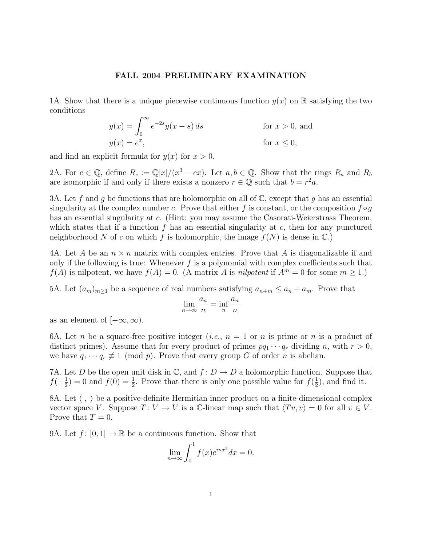## FALL 2004 PRELIMINARY EXAMINATION

1A. Show that there is a unique piecewise continuous function  $y(x)$  on R satisfying the two conditions

$$
y(x) = \int_0^\infty e^{-2s} y(x - s) ds
$$
 for  $x > 0$ , and  

$$
y(x) = e^x,
$$
 for  $x \le 0$ ,

and find an explicit formula for  $y(x)$  for  $x > 0$ .

2A. For  $c \in \mathbb{Q}$ , define  $R_c := \mathbb{Q}[x]/(x^3 - cx)$ . Let  $a, b \in \mathbb{Q}$ . Show that the rings  $R_a$  and  $R_b$ are isomorphic if and only if there exists a nonzero  $r \in \mathbb{Q}$  such that  $b = r^2 a$ .

3A. Let f and g be functions that are holomorphic on all of  $\mathbb{C}$ , except that g has an essential singularity at the complex number c. Prove that either f is constant, or the composition  $f \circ g$ has an essential singularity at c. (Hint: you may assume the Casorati-Weierstrass Theorem, which states that if a function f has an essential singularity at  $c$ , then for any punctured neighborhood N of c on which f is holomorphic, the image  $f(N)$  is dense in  $\mathbb{C}$ .

4A. Let A be an  $n \times n$  matrix with complex entries. Prove that A is diagonalizable if and only if the following is true: Whenever  $f$  is a polynomial with complex coefficients such that  $f(A)$  is nilpotent, we have  $f(A) = 0$ . (A matrix A is nilpotent if  $A<sup>m</sup> = 0$  for some  $m \ge 1$ .)

5A. Let  $(a_m)_{m\geq 1}$  be a sequence of real numbers satisfying  $a_{n+m} \leq a_n + a_m$ . Prove that

$$
\lim_{n \to \infty} \frac{a_n}{n} = \inf_n \frac{a_n}{n}
$$

as an element of  $[-\infty, \infty)$ .

6A. Let *n* be a square-free positive integer (*i.e.*,  $n = 1$  or *n* is prime or *n* is a product of distinct primes). Assume that for every product of primes  $pq_1 \cdots q_r$  dividing n, with  $r > 0$ , we have  $q_1 \cdots q_r \not\equiv 1 \pmod{p}$ . Prove that every group G of order n is abelian.

7A. Let D be the open unit disk in  $\mathbb{C}$ , and  $f: D \to D$  a holomorphic function. Suppose that  $f(-\frac{1}{2})$  $(\frac{1}{2}) = 0$  and  $f(0) = \frac{1}{2}$ . Prove that there is only one possible value for  $f(\frac{1}{2})$  $(\frac{1}{2})$ , and find it.

8A. Let  $\langle , \rangle$  be a positive-definite Hermitian inner product on a finite-dimensional complex vector space V. Suppose  $T: V \to V$  is a C-linear map such that  $\langle Tv, v \rangle = 0$  for all  $v \in V$ . Prove that  $T = 0$ .

9A. Let  $f: [0, 1] \to \mathbb{R}$  be a continuous function. Show that

$$
\lim_{n \to \infty} \int_0^1 f(x)e^{inx^3} dx = 0.
$$